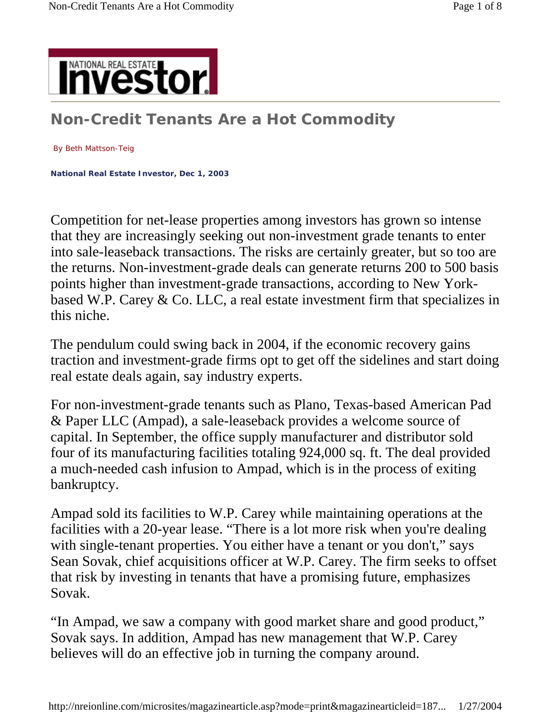

# **Non-Credit Tenants Are a Hot Commodity**

#### By Beth Mattson-Teig

**National Real Estate Investor, Dec 1, 2003** 

Competition for net-lease properties among investors has grown so intense that they are increasingly seeking out non-investment grade tenants to enter into sale-leaseback transactions. The risks are certainly greater, but so too are the returns. Non-investment-grade deals can generate returns 200 to 500 basis points higher than investment-grade transactions, according to New Yorkbased W.P. Carey & Co. LLC, a real estate investment firm that specializes in this niche.

The pendulum could swing back in 2004, if the economic recovery gains traction and investment-grade firms opt to get off the sidelines and start doing real estate deals again, say industry experts.

For non-investment-grade tenants such as Plano, Texas-based American Pad & Paper LLC (Ampad), a sale-leaseback provides a welcome source of capital. In September, the office supply manufacturer and distributor sold four of its manufacturing facilities totaling 924,000 sq. ft. The deal provided a much-needed cash infusion to Ampad, which is in the process of exiting bankruptcy.

Ampad sold its facilities to W.P. Carey while maintaining operations at the facilities with a 20-year lease. "There is a lot more risk when you're dealing with single-tenant properties. You either have a tenant or you don't," says Sean Sovak, chief acquisitions officer at W.P. Carey. The firm seeks to offset that risk by investing in tenants that have a promising future, emphasizes Sovak.

"In Ampad, we saw a company with good market share and good product," Sovak says. In addition, Ampad has new management that W.P. Carey believes will do an effective job in turning the company around.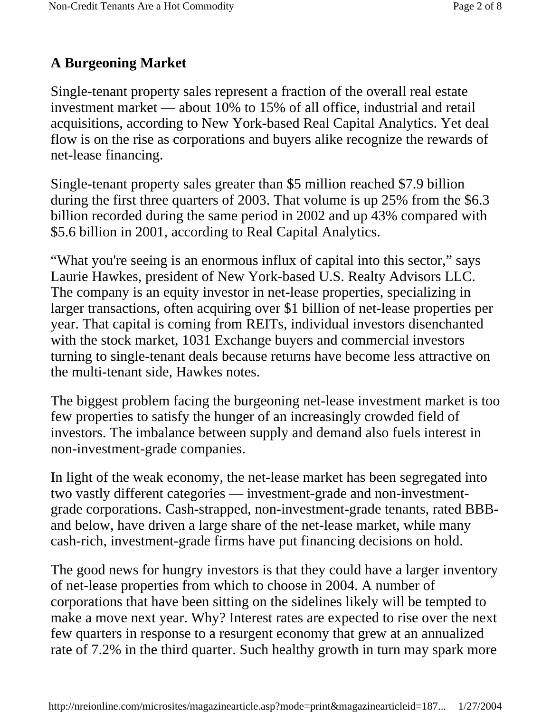# **A Burgeoning Market**

Single-tenant property sales represent a fraction of the overall real estate investment market — about 10% to 15% of all office, industrial and retail acquisitions, according to New York-based Real Capital Analytics. Yet deal flow is on the rise as corporations and buyers alike recognize the rewards of net-lease financing.

Single-tenant property sales greater than \$5 million reached \$7.9 billion during the first three quarters of 2003. That volume is up 25% from the \$6.3 billion recorded during the same period in 2002 and up 43% compared with \$5.6 billion in 2001, according to Real Capital Analytics.

"What you're seeing is an enormous influx of capital into this sector," says Laurie Hawkes, president of New York-based U.S. Realty Advisors LLC. The company is an equity investor in net-lease properties, specializing in larger transactions, often acquiring over \$1 billion of net-lease properties per year. That capital is coming from REITs, individual investors disenchanted with the stock market, 1031 Exchange buyers and commercial investors turning to single-tenant deals because returns have become less attractive on the multi-tenant side, Hawkes notes.

The biggest problem facing the burgeoning net-lease investment market is too few properties to satisfy the hunger of an increasingly crowded field of investors. The imbalance between supply and demand also fuels interest in non-investment-grade companies.

In light of the weak economy, the net-lease market has been segregated into two vastly different categories — investment-grade and non-investmentgrade corporations. Cash-strapped, non-investment-grade tenants, rated BBBand below, have driven a large share of the net-lease market, while many cash-rich, investment-grade firms have put financing decisions on hold.

The good news for hungry investors is that they could have a larger inventory of net-lease properties from which to choose in 2004. A number of corporations that have been sitting on the sidelines likely will be tempted to make a move next year. Why? Interest rates are expected to rise over the next few quarters in response to a resurgent economy that grew at an annualized rate of 7.2% in the third quarter. Such healthy growth in turn may spark more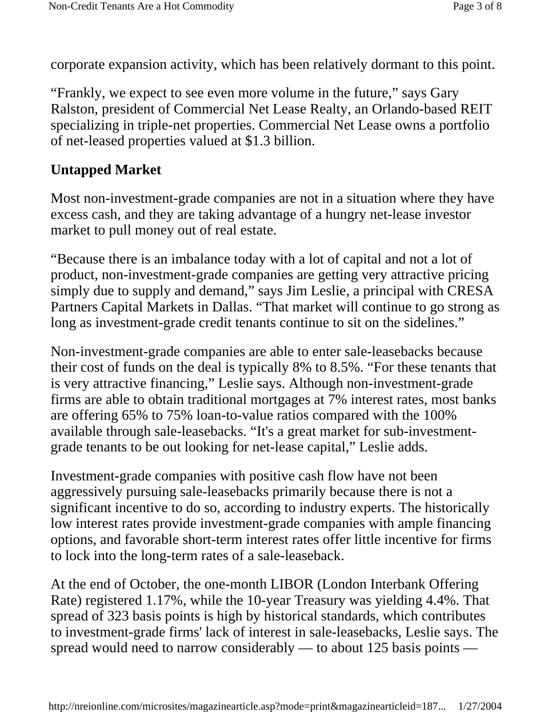corporate expansion activity, which has been relatively dormant to this point.

"Frankly, we expect to see even more volume in the future," says Gary Ralston, president of Commercial Net Lease Realty, an Orlando-based REIT specializing in triple-net properties. Commercial Net Lease owns a portfolio of net-leased properties valued at \$1.3 billion.

# **Untapped Market**

Most non-investment-grade companies are not in a situation where they have excess cash, and they are taking advantage of a hungry net-lease investor market to pull money out of real estate.

"Because there is an imbalance today with a lot of capital and not a lot of product, non-investment-grade companies are getting very attractive pricing simply due to supply and demand," says Jim Leslie, a principal with CRESA Partners Capital Markets in Dallas. "That market will continue to go strong as long as investment-grade credit tenants continue to sit on the sidelines."

Non-investment-grade companies are able to enter sale-leasebacks because their cost of funds on the deal is typically 8% to 8.5%. "For these tenants that is very attractive financing," Leslie says. Although non-investment-grade firms are able to obtain traditional mortgages at 7% interest rates, most banks are offering 65% to 75% loan-to-value ratios compared with the 100% available through sale-leasebacks. "It's a great market for sub-investmentgrade tenants to be out looking for net-lease capital," Leslie adds.

Investment-grade companies with positive cash flow have not been aggressively pursuing sale-leasebacks primarily because there is not a significant incentive to do so, according to industry experts. The historically low interest rates provide investment-grade companies with ample financing options, and favorable short-term interest rates offer little incentive for firms to lock into the long-term rates of a sale-leaseback.

At the end of October, the one-month LIBOR (London Interbank Offering Rate) registered 1.17%, while the 10-year Treasury was yielding 4.4%. That spread of 323 basis points is high by historical standards, which contributes to investment-grade firms' lack of interest in sale-leasebacks, Leslie says. The spread would need to narrow considerably — to about 125 basis points —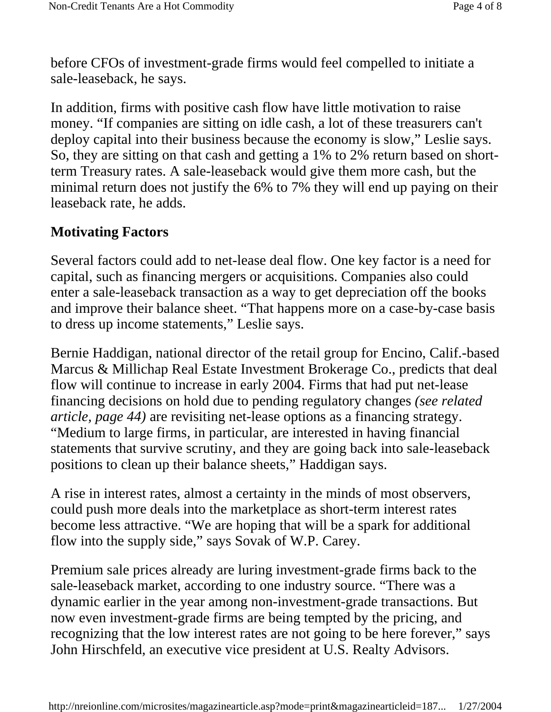before CFOs of investment-grade firms would feel compelled to initiate a sale-leaseback, he says.

In addition, firms with positive cash flow have little motivation to raise money. "If companies are sitting on idle cash, a lot of these treasurers can't deploy capital into their business because the economy is slow," Leslie says. So, they are sitting on that cash and getting a 1% to 2% return based on shortterm Treasury rates. A sale-leaseback would give them more cash, but the minimal return does not justify the 6% to 7% they will end up paying on their leaseback rate, he adds.

#### **Motivating Factors**

Several factors could add to net-lease deal flow. One key factor is a need for capital, such as financing mergers or acquisitions. Companies also could enter a sale-leaseback transaction as a way to get depreciation off the books and improve their balance sheet. "That happens more on a case-by-case basis to dress up income statements," Leslie says.

Bernie Haddigan, national director of the retail group for Encino, Calif.-based Marcus & Millichap Real Estate Investment Brokerage Co., predicts that deal flow will continue to increase in early 2004. Firms that had put net-lease financing decisions on hold due to pending regulatory changes *(see related article, page 44)* are revisiting net-lease options as a financing strategy. "Medium to large firms, in particular, are interested in having financial statements that survive scrutiny, and they are going back into sale-leaseback positions to clean up their balance sheets," Haddigan says.

A rise in interest rates, almost a certainty in the minds of most observers, could push more deals into the marketplace as short-term interest rates become less attractive. "We are hoping that will be a spark for additional flow into the supply side," says Sovak of W.P. Carey.

Premium sale prices already are luring investment-grade firms back to the sale-leaseback market, according to one industry source. "There was a dynamic earlier in the year among non-investment-grade transactions. But now even investment-grade firms are being tempted by the pricing, and recognizing that the low interest rates are not going to be here forever," says John Hirschfeld, an executive vice president at U.S. Realty Advisors.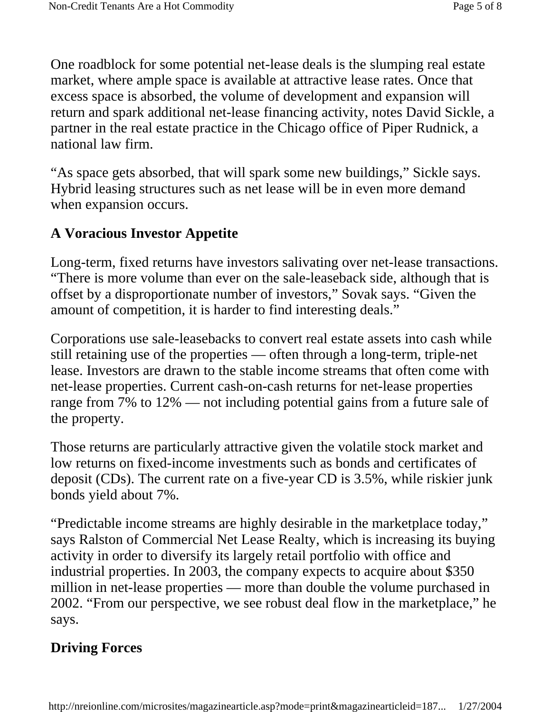One roadblock for some potential net-lease deals is the slumping real estate market, where ample space is available at attractive lease rates. Once that excess space is absorbed, the volume of development and expansion will return and spark additional net-lease financing activity, notes David Sickle, a partner in the real estate practice in the Chicago office of Piper Rudnick, a national law firm.

"As space gets absorbed, that will spark some new buildings," Sickle says. Hybrid leasing structures such as net lease will be in even more demand when expansion occurs.

## **A Voracious Investor Appetite**

Long-term, fixed returns have investors salivating over net-lease transactions. "There is more volume than ever on the sale-leaseback side, although that is offset by a disproportionate number of investors," Sovak says. "Given the amount of competition, it is harder to find interesting deals."

Corporations use sale-leasebacks to convert real estate assets into cash while still retaining use of the properties — often through a long-term, triple-net lease. Investors are drawn to the stable income streams that often come with net-lease properties. Current cash-on-cash returns for net-lease properties range from 7% to 12% — not including potential gains from a future sale of the property.

Those returns are particularly attractive given the volatile stock market and low returns on fixed-income investments such as bonds and certificates of deposit (CDs). The current rate on a five-year CD is 3.5%, while riskier junk bonds yield about 7%.

"Predictable income streams are highly desirable in the marketplace today," says Ralston of Commercial Net Lease Realty, which is increasing its buying activity in order to diversify its largely retail portfolio with office and industrial properties. In 2003, the company expects to acquire about \$350 million in net-lease properties — more than double the volume purchased in 2002. "From our perspective, we see robust deal flow in the marketplace," he says.

## **Driving Forces**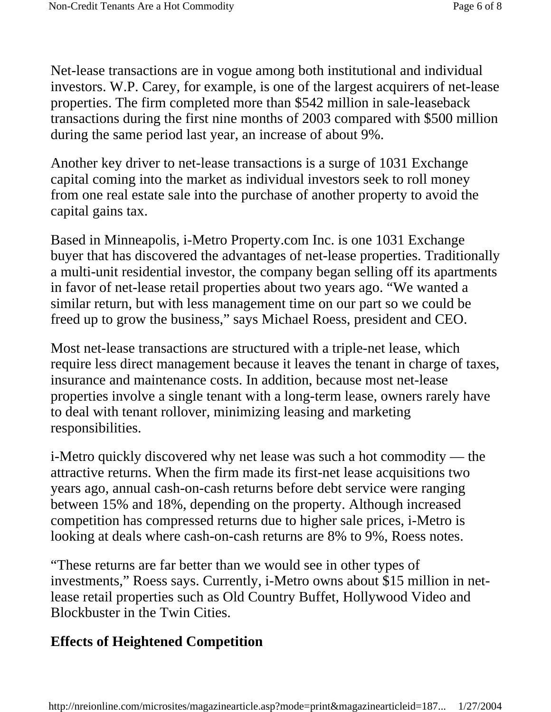Net-lease transactions are in vogue among both institutional and individual investors. W.P. Carey, for example, is one of the largest acquirers of net-lease properties. The firm completed more than \$542 million in sale-leaseback transactions during the first nine months of 2003 compared with \$500 million during the same period last year, an increase of about 9%.

Another key driver to net-lease transactions is a surge of 1031 Exchange capital coming into the market as individual investors seek to roll money from one real estate sale into the purchase of another property to avoid the capital gains tax.

Based in Minneapolis, i-Metro Property.com Inc. is one 1031 Exchange buyer that has discovered the advantages of net-lease properties. Traditionally a multi-unit residential investor, the company began selling off its apartments in favor of net-lease retail properties about two years ago. "We wanted a similar return, but with less management time on our part so we could be freed up to grow the business," says Michael Roess, president and CEO.

Most net-lease transactions are structured with a triple-net lease, which require less direct management because it leaves the tenant in charge of taxes, insurance and maintenance costs. In addition, because most net-lease properties involve a single tenant with a long-term lease, owners rarely have to deal with tenant rollover, minimizing leasing and marketing responsibilities.

i-Metro quickly discovered why net lease was such a hot commodity — the attractive returns. When the firm made its first-net lease acquisitions two years ago, annual cash-on-cash returns before debt service were ranging between 15% and 18%, depending on the property. Although increased competition has compressed returns due to higher sale prices, i-Metro is looking at deals where cash-on-cash returns are 8% to 9%, Roess notes.

"These returns are far better than we would see in other types of investments," Roess says. Currently, i-Metro owns about \$15 million in netlease retail properties such as Old Country Buffet, Hollywood Video and Blockbuster in the Twin Cities.

### **Effects of Heightened Competition**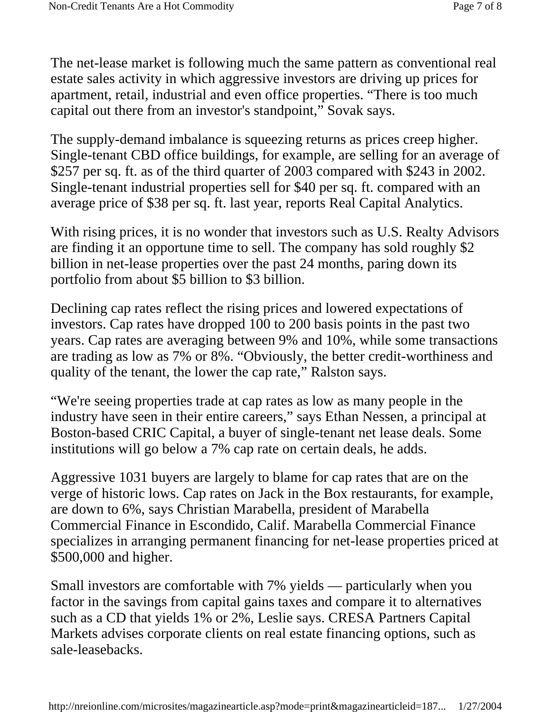The net-lease market is following much the same pattern as conventional real estate sales activity in which aggressive investors are driving up prices for apartment, retail, industrial and even office properties. "There is too much capital out there from an investor's standpoint," Sovak says.

The supply-demand imbalance is squeezing returns as prices creep higher. Single-tenant CBD office buildings, for example, are selling for an average of \$257 per sq. ft. as of the third quarter of 2003 compared with \$243 in 2002. Single-tenant industrial properties sell for \$40 per sq. ft. compared with an average price of \$38 per sq. ft. last year, reports Real Capital Analytics.

With rising prices, it is no wonder that investors such as U.S. Realty Advisors are finding it an opportune time to sell. The company has sold roughly \$2 billion in net-lease properties over the past 24 months, paring down its portfolio from about \$5 billion to \$3 billion.

Declining cap rates reflect the rising prices and lowered expectations of investors. Cap rates have dropped 100 to 200 basis points in the past two years. Cap rates are averaging between 9% and 10%, while some transactions are trading as low as 7% or 8%. "Obviously, the better credit-worthiness and quality of the tenant, the lower the cap rate," Ralston says.

"We're seeing properties trade at cap rates as low as many people in the industry have seen in their entire careers," says Ethan Nessen, a principal at Boston-based CRIC Capital, a buyer of single-tenant net lease deals. Some institutions will go below a 7% cap rate on certain deals, he adds.

Aggressive 1031 buyers are largely to blame for cap rates that are on the verge of historic lows. Cap rates on Jack in the Box restaurants, for example, are down to 6%, says Christian Marabella, president of Marabella Commercial Finance in Escondido, Calif. Marabella Commercial Finance specializes in arranging permanent financing for net-lease properties priced at \$500,000 and higher.

Small investors are comfortable with 7% yields — particularly when you factor in the savings from capital gains taxes and compare it to alternatives such as a CD that yields 1% or 2%, Leslie says. CRESA Partners Capital Markets advises corporate clients on real estate financing options, such as sale-leasebacks.